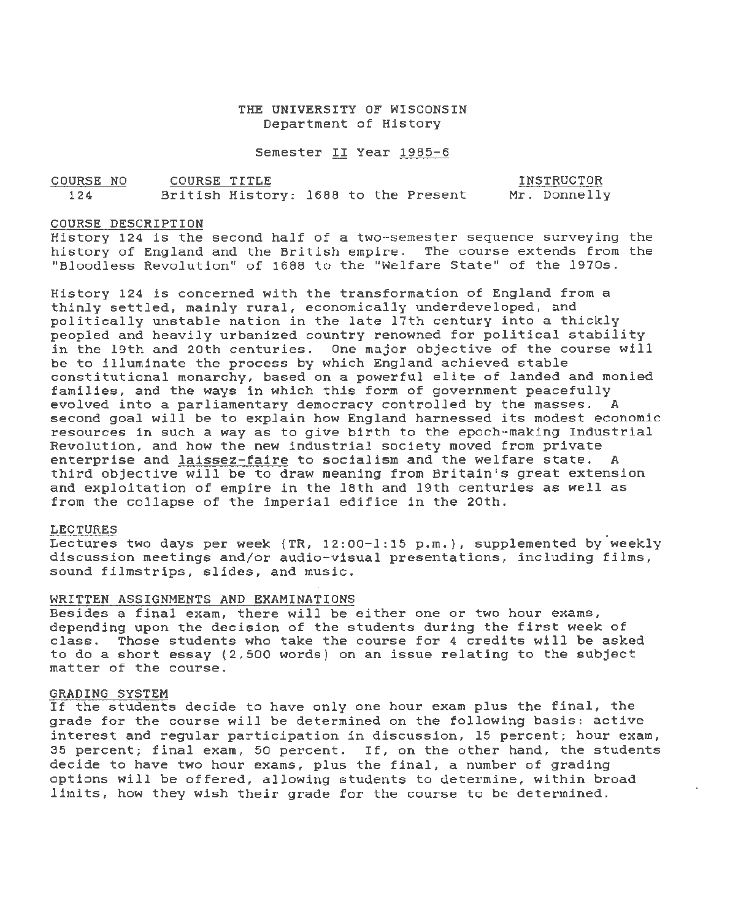## THE UNIVERSITY OF WISCONSIN Department of History

Semester II Year 1985-6

| COURSE NO | COURSE TITLE |                                      | INSTRUCTOR   |
|-----------|--------------|--------------------------------------|--------------|
| 124       |              | British History: 1688 to the Present | Mr. Donnelly |

#### COURSE DESCRIPTION

History 124 is the second half of a two-semester sequence surveying the history of England and the British empire. The course extends from the "Bloodless Revolution" of 1688 to the "Welfare State" of the 1970s.

History 124 is concerned with the transformation of England from a thinly settled, mainly rural, economically underdeveloped, and politically unstable nation *in* the late 17th century into a thickly peopled and heavily urbanized country renowned for political stability in the 19th and 20th centuries. One major objective of the course will be to illuminate the process by which England achieved stable constitutional monarchy, based on a powerful elite of landed and monied families, and the ways *in* which this form of government peacefully evolved into a parliamentary democracy controlled by the masses . A second goal will be to explain how England harnessed its modest economic resources in such a way as to give birth to the epoch-making Industrial Revolution, and how the new industrial society moved from private enterprise and laissez-faire to *socialism* and the welfare state. A third objective will be to draw meaning from Britain's great extension and exploitation of empire *in* the 18th and 19th centuries as well as from the collapse of the imperial edifice in the 20th.

#### LECTURES

Lectures two days per week (TR,  $12:00-1:15$  p.m.), supplemented by weekly discussion meetings and/or audio-visual presentations, including films, sound filmstrips, slides, and music.

#### WRITTEN ASSIGNMENTS AND EXAMINATIONS

Besides a final exam, there will be either one or two hour exams, depending upon the decision of the students during the first week of class. Those students who take the course for 4 oredits will be asked to do a short essay (2,500 words) on an issue relating to the subject matter of the course.

#### GRADING SYSTEM

If the students decide to have only one hour exam plus the final, the grade for the course will be determined on the following basis: active interest and regular participation *in* discussion, 15 percent; hour exam, 35 percent; final exam, 50 percent. If, on the other hand, the students decide to have two hour exams, plus the final, a number of grading options will be offered, allowing students to determine, within broad limits, how they wish their grade for the course to be determined.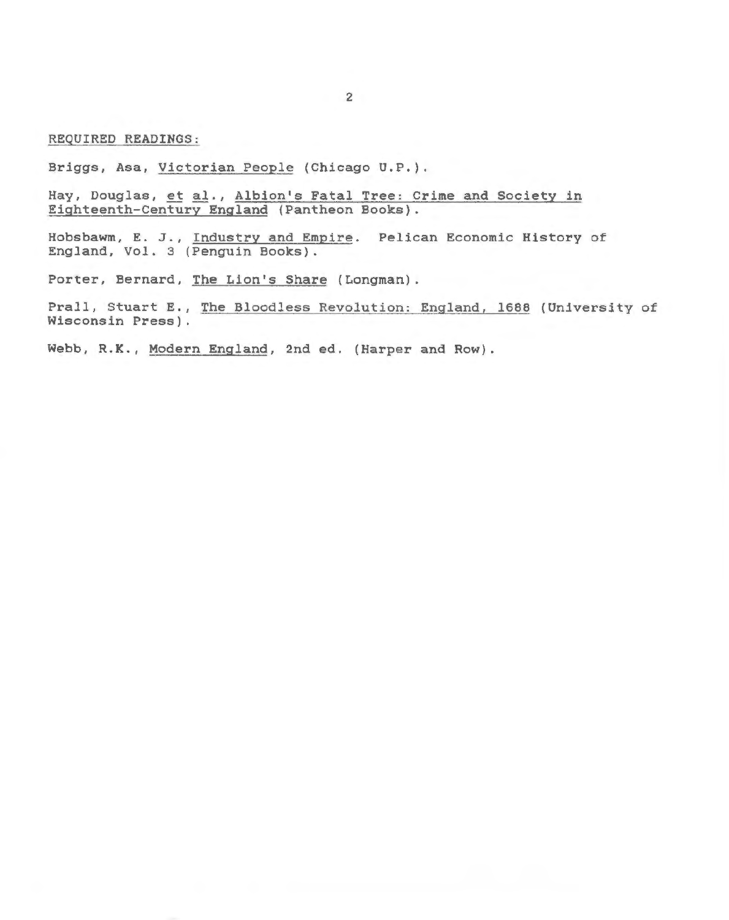REQUIRED READINGS:

Briggs, Asa, Victorian People (Chicago U.P.).

Hay, Douglas, et al., Albion's Fatal Tree: Crime and Society in Eighteenth-Century England (Pantheon Books).

Hobsbawm, E. J., Industry and Empire. Pelican Economic History of England, Vol. 3 (Penguin Books).

Porter, Bernard, The Lion's Share {Longman).

Prall, Stuart E., The Bloodless Revolution: England, 1688 (University of Wisconsin Press).

Webb, R.K., Modern England, 2nd ed. (Harper and Row).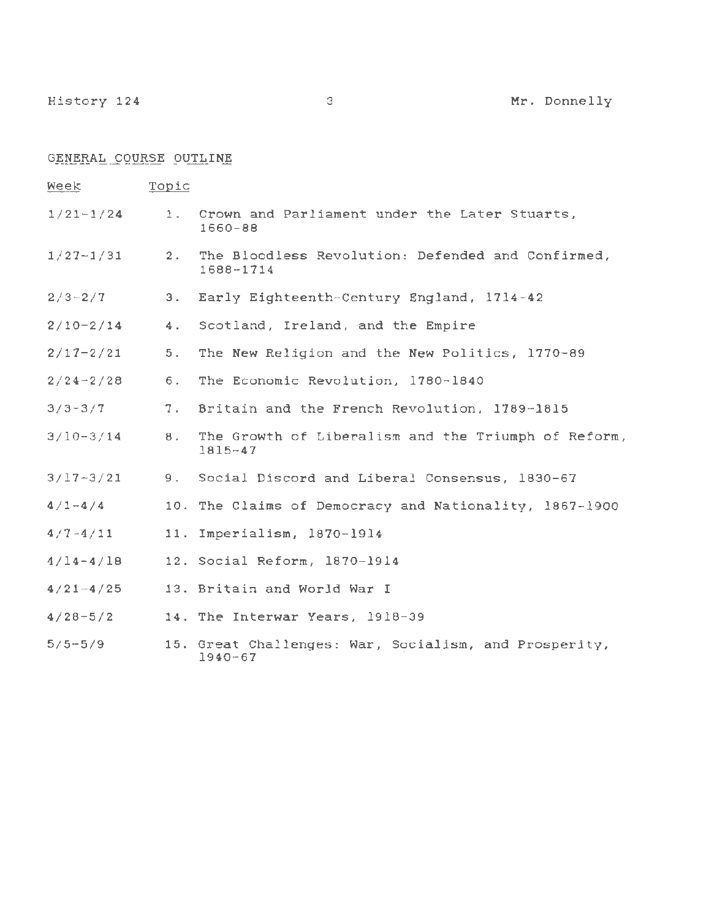GENERAL COURSE OUTLINE

Week Topic 1/21-1/24 1. Crown and Parliament under the Later Stuarts, 1660-88 1/27-1/31 2. The Bloodless Revolution: Defended and Confirmed, 1688-1714  $2/3 - 2/7$ 3. Early Eighteenth-Century England, 1714-42 2/10-2/14 4. Scotland, Ireland, and the Empire 2/17-2/21 5. The New Religion and the New Politics, 1770-89 6. The Economic Revolution, 1780-1840  $2/24-2/28$ 3/3-3/7 *1.* Britain and the French Revolution, 1789-1815 3/10-3/14 8. The Growth of Liberalism and the Triumph of Reform, 1815-47 3/17-3/21 9. Social Discord and Liberal Consensus, 1830-67  $4/1 - 4/4$ 10. The Claims of Democracy and Nationality, 1867-1900 11. Imperialism, 1870-1914  $4/7 - 4/11$  $4/14-4/18$ 12. Social Reform, 1870-1914 13. Britain and World War I  $4/21 - 4/25$ 4/28-5/2 14. The Interwar Years, 1918-39 5/5-5/9 15. Great Challenges: War, Socialism, and Prosperity,

1940-67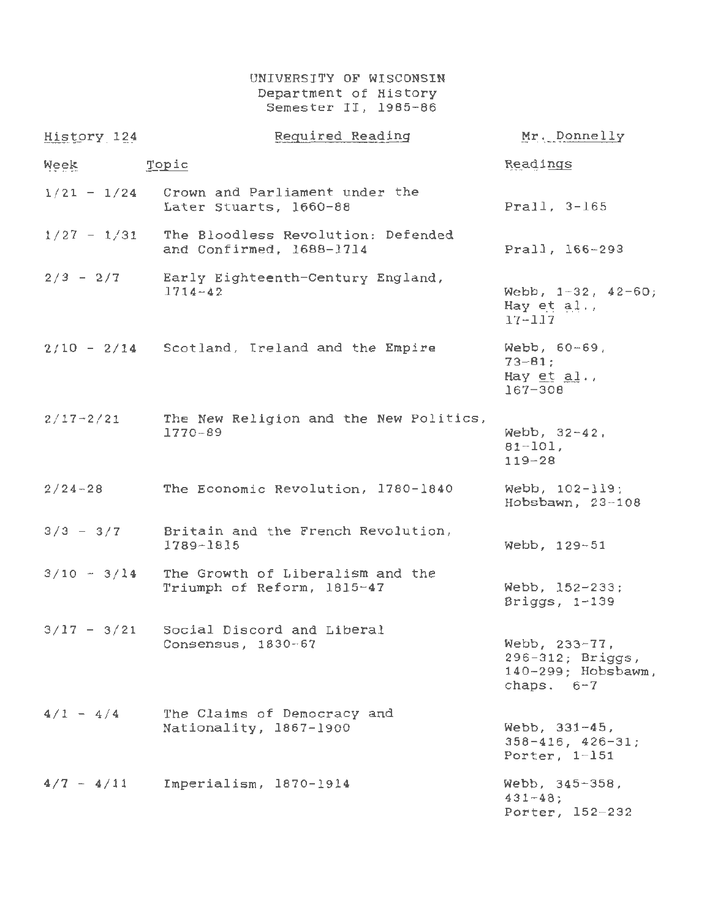UNIVERSITY OF WISCONSIN Department of History Semester II, 1985-86

| History 124   | Required Reading                                               | Mr. Donnelly                                                            |
|---------------|----------------------------------------------------------------|-------------------------------------------------------------------------|
| Week          | Topic                                                          | Readings                                                                |
| $1/21 - 1/24$ | Crown and Parliament under the<br>Later Stuarts, 1660-88       | Prall, 3-165                                                            |
| $1/27 - 1/31$ | The Bloodless Revolution: Defended<br>and Confirmed, 1688-1714 | Prall, 166-293                                                          |
| $2/3 - 2/7$   | Early Eighteenth-Century England,<br>$1714 - 42$               | Webb, $1-32$ , $42-60$ ;<br>Hay et al.,<br>$17 - 117$                   |
|               | $2/10 - 2/14$ Scotland, Ireland and the Empire                 | Webb, 60-69,<br>$73 - 81;$<br>Hay $et$ al.,<br>$167 - 308$              |
| $2/17 - 2/21$ | The New Religion and the New Politics,<br>1770-89              | Webb, 32-42,<br>$81 - 101$ ,<br>$119 - 28$                              |
| $2/24 - 28$   | The Economic Revolution, 1780-1840                             | Webb, 102-119;<br>Hobsbawn, 23-108                                      |
| $3/3 - 3/7$   | Britain and the French Revolution,<br>$1789 - 1815$            | Webb, 129-51                                                            |
| $3/10 - 3/14$ | The Growth of Liberalism and the<br>Triumph of Reform, 1815-47 | Webb, $152-233$ ;<br>Briggs, $1-139$                                    |
| $3/17 - 3/21$ | Social Discord and Liberal<br>Consensus, 1830-67               | Webb, 233-77,<br>296-312; Briggs,<br>140-299; Hobsbawm,<br>chaps. $6-7$ |
| $4/1 - 4/4$   | The Claims of Democracy and<br>Nationality, 1867-1900          | Webb, 331-45,<br>$358 - 416$ , $426 - 31$ ;<br>Porter, 1-151            |
| $4/7 - 4/11$  | Imperialism, 1870-1914                                         | $Webb, 345-358,$<br>$431 - 48$ ;<br>Porter, 152-232                     |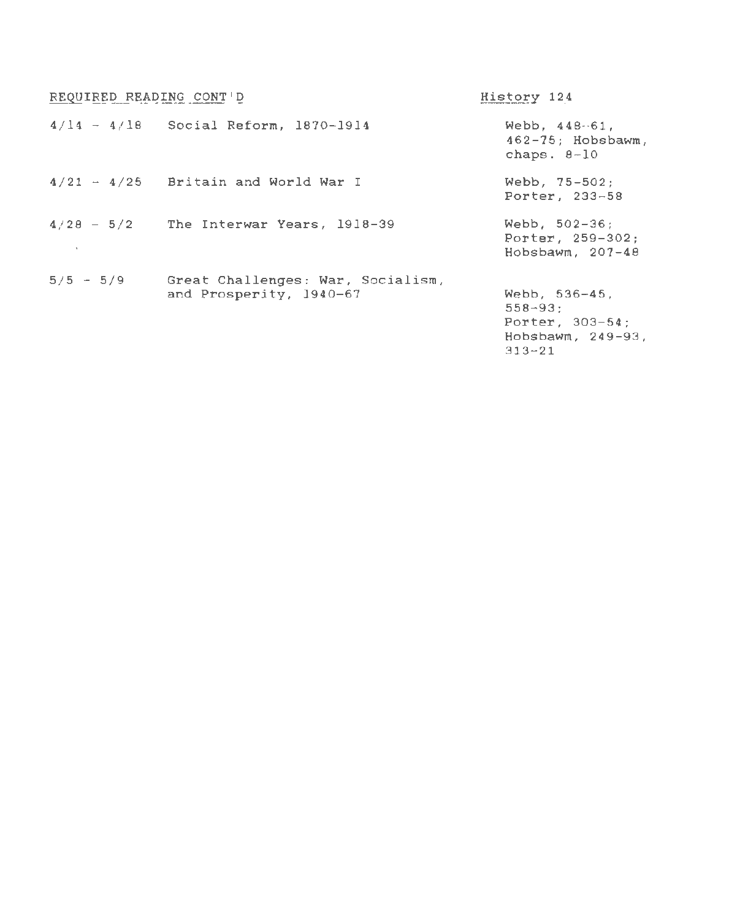| REQUIRED READING CONT'D                  | History 124                                                              |
|------------------------------------------|--------------------------------------------------------------------------|
| $4/14 - 4/18$ Social Reform, 1870-1914   | Webb, $448 - 61$ ,<br>$462 - 75$ ; Hobsbawm,<br>chaps. $8-10$            |
| $4/21 - 4/25$ Britain and World War I    | $Webb. 75-502:$<br>Porter, 233-58                                        |
| $4/28 - 5/2$ The Interwar Years, 1918-39 | Webb, $502-36$ ;<br>Porter, 259-302;<br>Hobsbawm, $207-48$               |
| Great Challenges: War, Socialism,        | Webb, 536-45,                                                            |
|                                          | $558 - 93$ :<br>Porter, 303-54;<br>$H$ obsbawm, $249-93$ ,<br>$313 - 21$ |
|                                          | and Prosperity, 1940-67                                                  |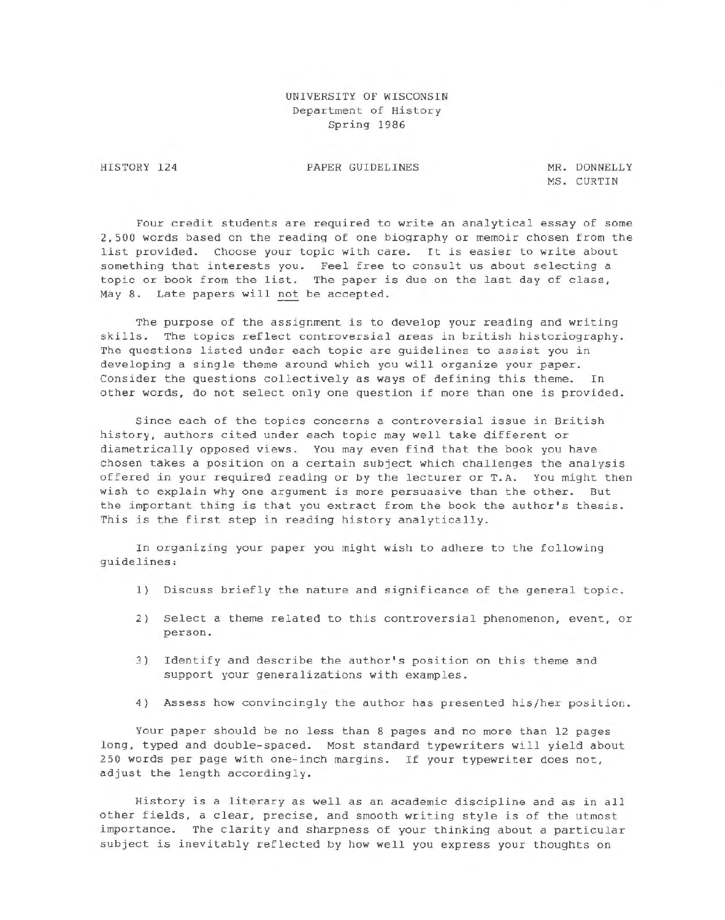# UNIVERSITY OF WISCONSIN Department of History Spring 1986

HISTORY 124

PAPER GUIDELINES MR. DONNELLY

MS . CURTIN

Four credit students are required to write an analytical essay of some 2 , 500 words based on the reading of one biography or memoir chosen from the list provided. Choose your topic with care. It is easier to write about something that interests you. Feel free to consult us about selecting a topic or book from the list. The paper is due on the last day of class, May 8. Late papers will not be accepted.

The purpose of the assignment is to develop your reading and writing skills. The topics reflect controversial areas in british historiography. The questions listed under each topic are guidelines to assist you in developing a single theme around which you will organize your paper. Consider the questions collectively as ways of defining this theme. In other words, do not select only one question if more than one is provided.

Since each of the topics concerns a controversial issue in British history, authors cited under each topic may well take different or diametrically opposed views. You may even find that the book you have chosen takes a position on a certain subject which challenges the analysis offered in your required reading or by the lecturer or T.A. You might then wish to explain why one argument is more persuasive than the other. But the important thing is that you extract from the book the author's thesis. This is the first step in reading history analytically.

In organizing your paper you might wish to adhere to the following guideli nes :

- 1) Discuss briefly the nature and significance of the general topic.
- 2) Select a theme related to this controversial phenomenon, event, or person.
- 3) Identify and describe the author's position on this theme and support your generalizations with examples.
- 4) Assess how convincingly the author has presented his/her position.

Your paper should be no less than 8 pages and no more than 12 pages long, typed and double-spaced. Most standard typewriters will yield about 250 words per page with one- inch margins. If your typewriter does not, adjust the length accordingly.

History is a literary as well as an academic discipline and as in all other fields, a clear, precise, and smooth writing style is of the utmost importance. The clarity and sharpness of your thinking about a particular subject is inevitably reflected by how well you express your thoughts on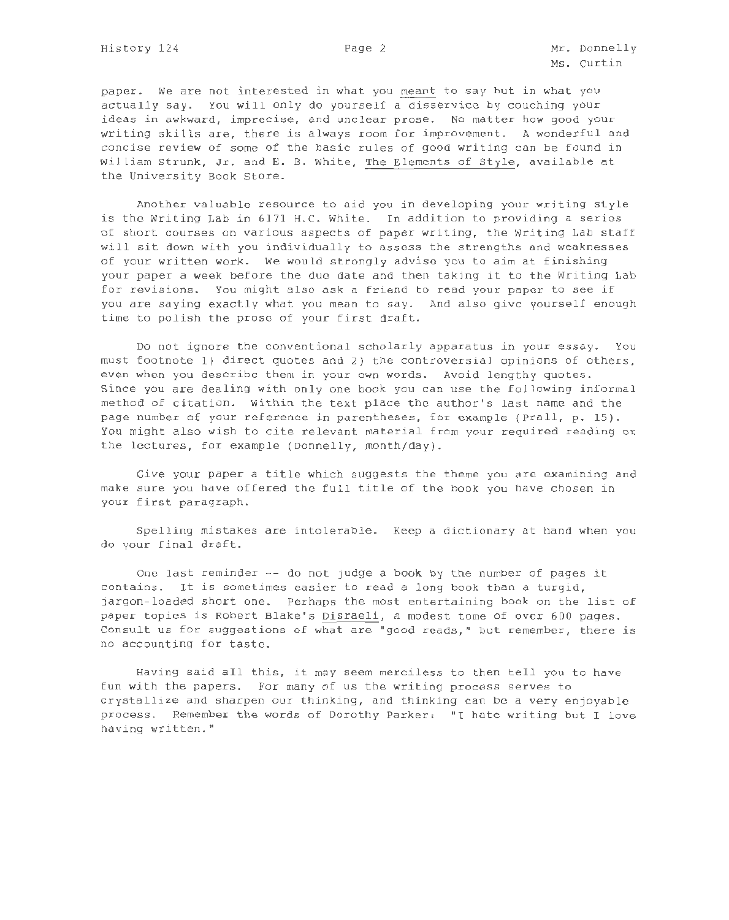paper. we are not interested in what you meant to say but in what you actually say. You will only do yourself a disservice by couching your ideas in awkward, imprecise, and unclear prose. No matter how good your writing skills are, there is always room for improvement. A wonderful and concise review of some of the basic rules of good writing can be found in William Strunk, Jr. and E. B. White, The Elements of Style, available at the University Book Store.

Another valuable resource to aid you in developing your writing style is the Writing Lab in 6171 H. C. White. In addition to providing a series of short courses on various aspects of paper writing, the Writing Lab staff will sit down with you individually to assess the strengths and weaknesses of your written work. We would strongly advise you to aim at finishing your paper a week before the due date and then taking it to the Writing Lab for revisions. You might also ask a friend to read your paper to see if you are saying exactly what you mean to say. And also give yourself enough time to polish the prose of your first draft.

Do not ignore the conventional scholarly apparatus in your essay. You must footnote 1) direct quotes and 2) the controversial opinions of others, even when you describe them in your own words. Avoid lengthy quotes. Since you are dealing with only one book you can use the following informal method of citation. Within the text place the author's last name and the page number of your reference in parentheses, for example (Prall, p. 15). You might also wish to cite relevant material from your required reading or the lectures, for example (Donnelly, month/day).

Give your paper a title which suggests the theme you are examining and make sure you have offered the full title of the book you have chosen in your first paragraph.

Spelling mistakes are intolerable . Keep a dictionary at hand when you do your final draft.

One last reminder -- do not judge a book by the number of pages it contains. It is sometimes easier to read a long book than a turgid, jargon-loaded short one. Perhaps the most entertaining book on the list of paper topics is Robert Blake's Disraeli, a modest tome of over 600 pages. Consult us for suggestions of what are "good reads, " but remember, there is no accounting for taste.

Having said all this, it may seem merciless to then tell you to have fun with the papers. For many of us the writing process serves to crystallize and sharpen our thinking, and thinking can be a very enjoyable process. Remember the words of Dorothy Parker: "I hate writing but I love having written. "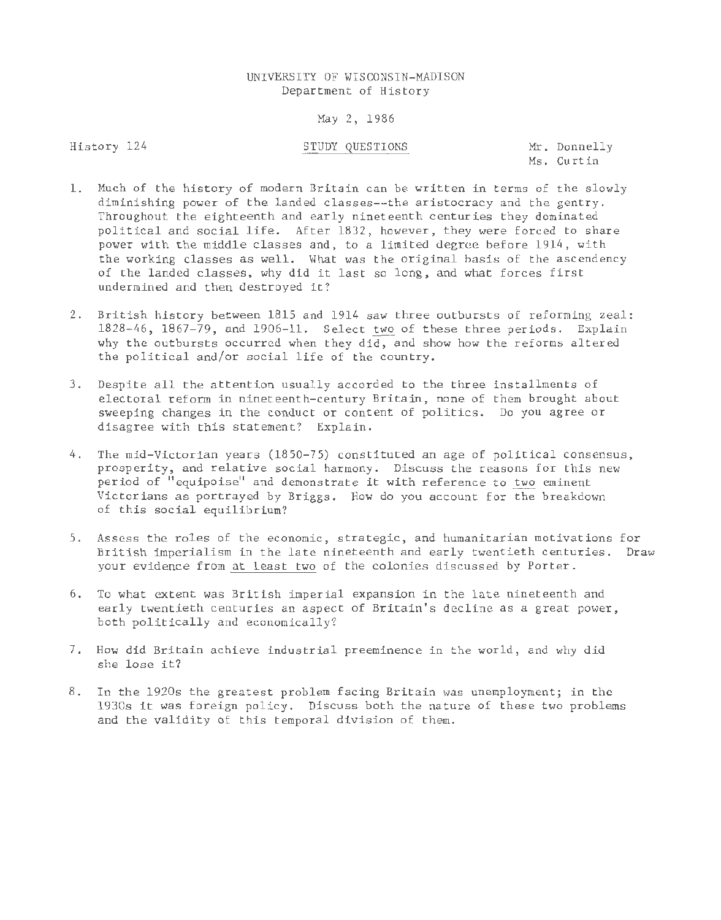# UNIVERSITY OF WISCONSIN-MADISON Depar tment of History

## May 2, 1986

History 124

# STUDY QUESTIONS Mr. Donnelly

Ms. Curtin

- 1. Much of the history of modern Britain can be written in terms of the slowly diminishing power of the landed classes--the aristocracy and the gentry . Throughout the eighteenth and early nineteenth centuries they dominated political and social life. After 1832, however , they were forced to share power with the middle classes and, to a limited degree before 1914, with the working classes as well. What was the original basis of the ascendency of the landed classes, why did it last so long, and what forces first undermined and then destroyed it?
- 2. British history between 1815 and 1914 saw three outbursts of reforming zeal: 1828-46, 1867-79, and 1906-11. Select two of these three periods. Explain why the outbursts occurred when they did, and show how the reforms altered the political and/or social life of the country.
- 3. Despite all the attention usually accorded to the three installments of electoral reform in nineteenth-century Britain, none of them brought about sweeping changes in the conduct or content of politics. Do you agree or disagree with this statement? Explain .
- 4. The mid-Victorian years (1850-75) constituted an age of political consensus, prosperity, and relative social harmony. Discuss the reasons for this new period of "equipoise" and demonstrate it with reference to two eminent Victorians as portrayed by Briggs. How do you account for the breakdown of this social equilibrium?
- 5 . Assess the roles of the economic , strategic, and humanitarian motivations for British imperialism in the late nineteenth and early twentieth centuries. Draw your evidence from at least two of the colonies discussed by Porter.
- 6. To what extent was British imperial expansion in the late nineteenth and early twentieth centuries an aspect of Britain's decline as a great power, both politically and economically?
- 7. How did Britain achieve industrial preeminence in the world, and why did she lose it?
- 8 . In the 1920s the greatest problem facing Britain was unemployment; in the 1930s it was foreign policy. Discuss both the nature of these two problems and the validity of this temporal division of them.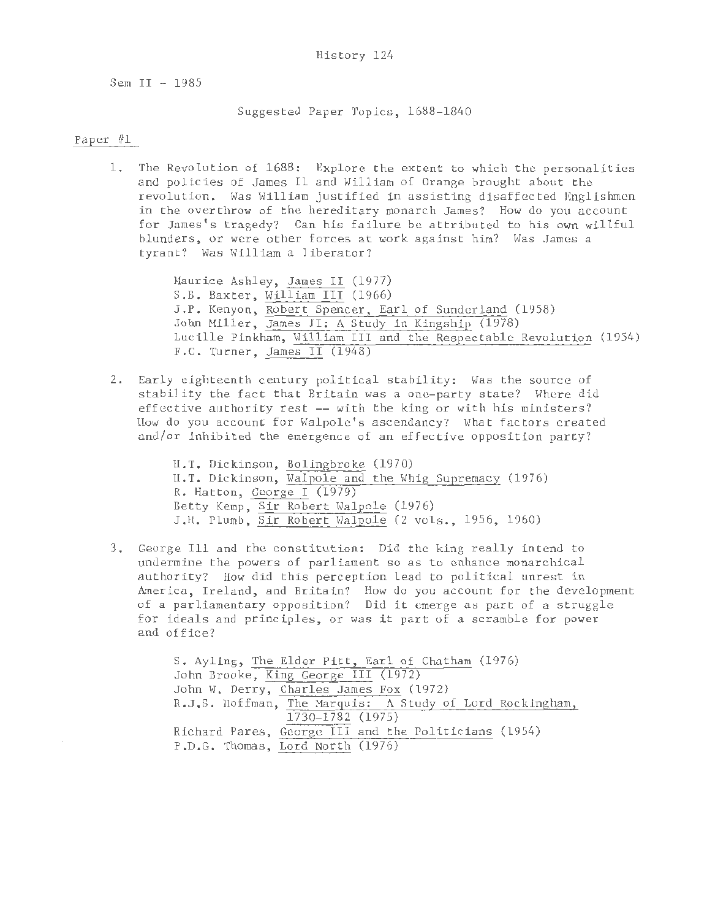Sem II - 1985

Suggested Paper Topics, 1688-1840

# Paper  $#1$

1. The Revolution of 1688: Explore the extent to which the personalities and policies of James Il and William of Orange brought about the revolution. Was William justified in assisting disaffected Englishmen in the overthrow of the hereditary monarch James? How do you account for James's tragedy? Can his failure be attributed to his own willful blunders, or were other forces at work against him? Was James a tyrant? Was William a liberator?

> Maurice Ashley, James II (1977) S.B. Baxter, William III (1966) J.P. Kenyon, Robert Spencer, Earl of Sunderland (1958) John Miller, James II: A Study in Kingship (1978) Lucille Pinkham, William III and the Respectable Revolution (1954) F.C. Turner, James II (1948)

2 . Early eighteenth century political stability: Was the source of stability the fact that Britain was a one-party state? Where did effective authority rest -- with the king or with his ministers? How do you account for \valpole's ascendancy? What factors created and/or inhibited the emergence of an effective opposition party?

> H. T. Dickinson, Bolingbroke (1970) H.T. Dickinson, Walpole and the Whig Supremacy (1976) R. Hatton, George I (1979) Betty Kemp, Sir Robert Walpole (1976) J.H. Plumb, Sir Robert Walpole (2 vols., 1956, 1960)

<sup>3</sup> . George III and the constitution: Did the king really intend to undermine the powers of parliament so as to enhance monarchical authority? How did this perception lead to political unrest in America, Ireland, and Britain? How do you account for the development of a parliamentary opposition? Did it emerge as part of a struggle for ideals and principles, or was it part of a scramble for power and office?

> s. Ayling, The Elder Pitt, Earl of Chatham (1976) John Brooke, King George III (1972) John W. Derry, Charles James Fox (1972) R.J.S. Hoffman, The Marquis: A Study of Lord Rockingham, 1730-1782 (1975) Richard Pares, George III and the Politicians (1954) P.D.G. Thomas, Lord North (1976)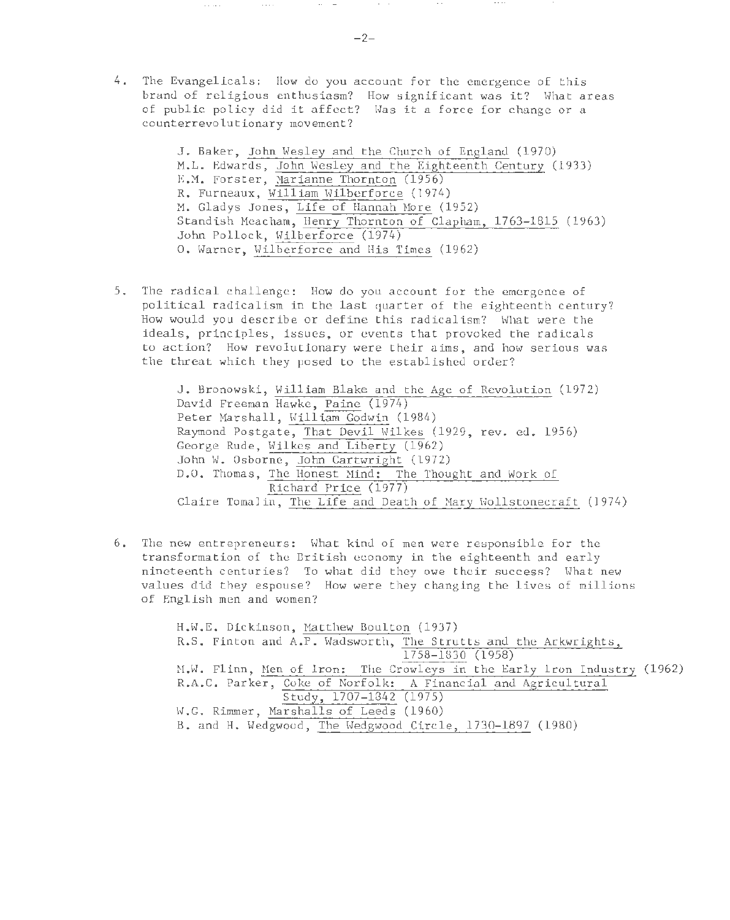4. The Evangelicals: How do you account for the emergence of this brand of religious enthusiasm? How significant was it? What areas of public policy did it affect? Was it a force for change or a counterrevolutionary movement?

> J. Baker, John Wesley and the Church of England (1970) M.L. Edwards, John Wesley and the Eighteenth Century (1933) E .M. Forster, Marianne Thornton (1956) R. Furneaux, William Wilberforce (1974) M. Gladys Jones, Life of Hannah More (1952) Standish Meacham, Henry Thornton of Clapham, 1763-1815 (1963) John Pollock, Wilberforce (1974) 0. Warner, Wilberforce and His Times (1962)

5. The radical challenge: How do you account for the emergence of political radicalism in the last quarter of the eighteenth century? How would you describe or define this radicalism? What were the ideals, principles, issues, or events that provoked the radicals to action? How revolutionary were their aims, and how serious was the threat which they posed to the established order?

> J. Bronowski, William Blake and the Age of Revolution (1972) David Freeman Hawke, Paine (1974) Peter Marshall, William Godwin (1984) Raymond Postgate, That Devil Wilkes (1929, rev. ed. 1956) George Rude, Wilkes and Liberty (1962) John W. Osborne, John Cartwright (1972) D.O. Thomas, The Honest Mind: The Thought and Work of Richard Price (1977) Claire Tomalin, The Life and Death of Mary Wollstonecraft (1974)

6. The new entrepreneurs: What kind of men were responsible for the transformation of the British economy in the eighteenth and early nineteenth centuries? To what did they owe their success? What new values did they espouse? How were they changing the lives of millions of English men and women?

> H.W.E. Dickinson, Matthew Boulton (1937) R.S. Finton and A.P. Wadsworth, The Strutts and the Arkwrights, 1758-1830 (1958) M.W. Flinn, Men of Iron: The Crowleys in the Early Iron Industry (1962) R.A.C. Parker, Coke of Norfolk: A Financial and Agricultural Study, 1707-1842 (1975) W.G. Rimmer, Marshalls of Leeds (1960) B. and H. Wedgwood, The Wedgwood Circle, 1730-1897 (1980)

 $\sim$   $\sim$   $-$ 

 $\epsilon$  ,  $\epsilon$ 

 $\sim$  0.00  $\pm$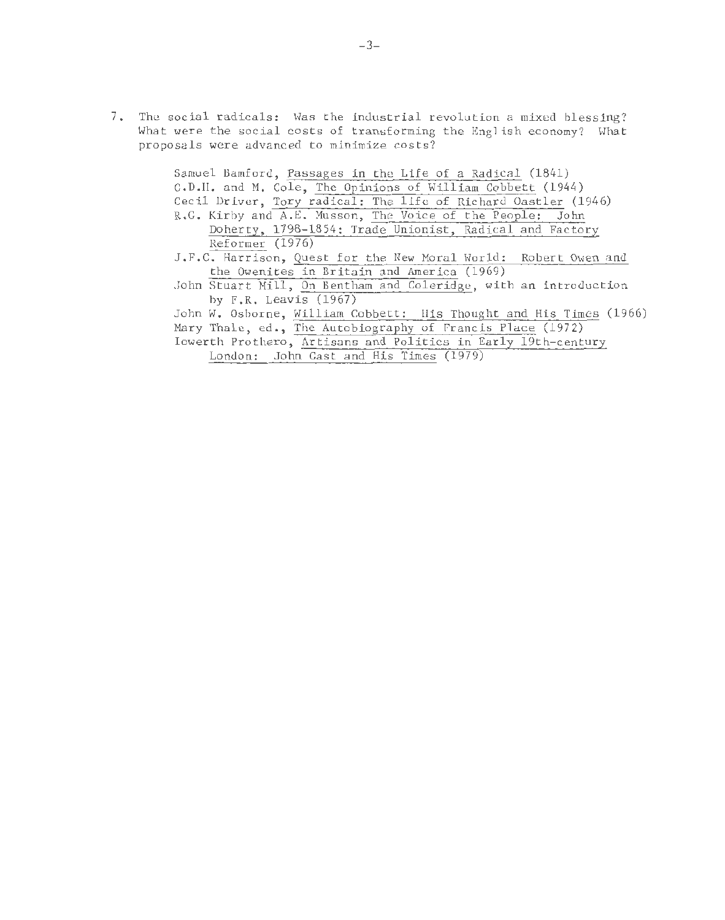7. The social radicals: Was the industrial revolution a mixed blessing? What were the social costs of transforming the English economy? What proposals were advanced to minimize costs?

> Samuel Bamford, Passages in the Life of a Radical (1841) G.D.H. and M. Cole, The Opinions of William Cobbett (1944) Cecil Driver, Tory radical: The life of Richard Oastler (1946) R.G. Kirby and A.E. Musson, The Voice of the People: John Doherty, 1798-1854: Trade Unionist, Radical and Factory Reformer (1976) J.F.C. Harrison, Quest for the New Moral World: Robert Owen and the Owenites in Britain and America (1969) John Stuart Mill, On Bentham and Coleridge, with an introduction by F.R. Leavis (1967) John W. Osborne, William Cobbett: His Thought and His Times (1966) Mary Thale, ed., The Autobiography of Francis Place (1972) Iowerth Prothero, Artisans and Politics in Early 19th-century London: John Gast and His Times (1979)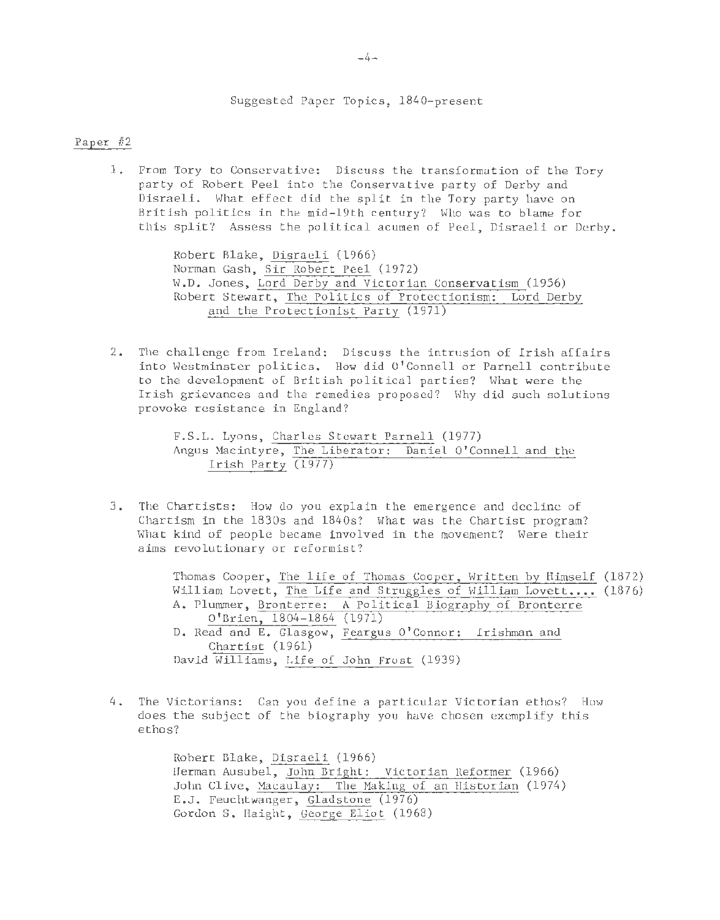Suggested Paper Topics, 1840-present

## Paper #2

1. From Tory to Conservative: Discuss the transformation of the Tory party of Robert Peel into the Conservative party of Derby and Disraeli. What effect did the split in the Tory party have on British politics in the mid-19th century? Who was to blame for this split? Assess the political acumen of Peel, Disraeli or Derby.

> Robert Blake, Disraeli (1966) Norman Gash, Sir Robert Peel (1972) W.D. Jones, Lord Derby and Victorian Conservatism (1956) Robert Stewart, The Politics of Protectionism: Lord Derby and the Protectionist Party (1971)

2. The challenge £rom Ireland: Discuss the intrusion of Irish affairs into Westminster politics. How did O'Connell or Parnell contribute to the development of British political parties? What were the Irish grievances and the remedies proposed? Why did such solutions provoke resistance in England?

```
F.S.L. Lyons, Charles Stewart Parnell (1977) 
Angus Macintyre, The Liberator: Daniel O'Connell and the 
    Irish Party (1977)
```
3 . The Chartists: How do you explain the emergence and decline of Chartism in the 1830s and 1840s? What was the Chartist program? What kind of people became involved in the movement? Were their aims revolutionary or reformist?

> Thomas Cooper, The life of Thomas Cooper, Written by Himself (1872) William Lovett, The Life and Struggles of William Lovett.... (1876) A. Plummer, Bronterre: A Political Biography of Bronterre O'Brien, 1804-1864 (1971) D. Read and E. Glasgow, Feargus O'Connor: Irishman and Chartist (1961) David Williams, Life of John Frost (1939)

4. The Victorians: Can you define a particular Victorian ethos? How does the subject of the biography you have chosen exemplify this ethos?

> Robert Blake, Disraeli (1966) Herman Ausubel, John Bright: Victorian Reformer (1966) John Clive, Macaulay: The Making of an Historian (1974) E.J. Feuchtwanger, Gladstone (1976) Gordon S. Haight, George Eliot (1968)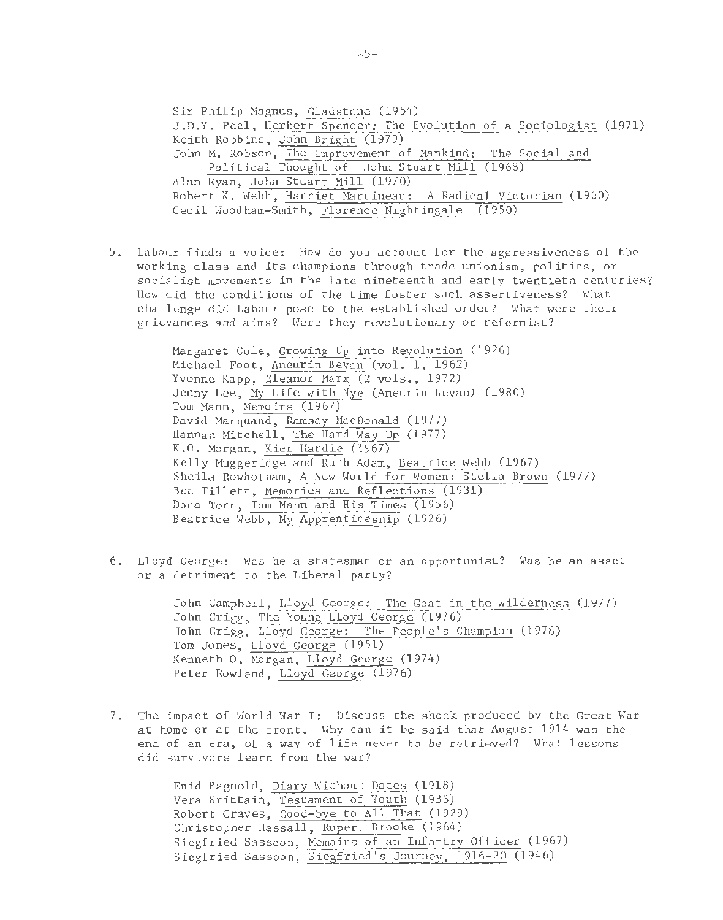Sir Philip Magnus, Gladstone (1954) J . D.Y. Peel , Herbert Spencer : The Evolution of a Sociologist (1971) Keith Robbins , John Bright (1979) John M. Robson, The Improvement of Mankind: The Social and Political Thought of John Stuart Mill (1968) Alan Ryan, John Stuart Mill (1970) Robert K. Webb, Harriet Martineau: A Radical Victorian (1960) Cecil Woodham-Smith, Florence Nightingale (1950)

5. Labour finds a voice: How do you account for the aggressiveness of the working class and its champions through trade unionism, politics, or socialist movements in the late nineteenth and early twentieth centuries? How did the conditions of the time foster such assertiveness? What challenge did Labour pose to the established order? What were their grievances and aims? Were they revolutionary or reformist?

> Margaret Cole, Growing Up into Revolution (1926) Michael Foot, Aneurin Bevan (vol. 1, 1962) Yvonne Kapp, Eleanor Marx (2 vols., 1972) Jenny Lee, My Life with Nye (Aneurin Bevan) (1980) Tom Mann, Memoirs (1967) David Marquand, Ramsay MacDonald (1977) Hannah Mitchell , The Hard Way Up (1977) K.O. Morgan, Kier Hardie (1967) Kelly Muggeridge and Ruth Adam, Beatrice Webb (1967) Sheila Rowbotham, A New World for Women: Stella Brown (1977) Ben Tillett, Memories and Reflections (1931) Dona Torr, Tom Mann and His Times (1956) Beatrice Webb , My Apprenticeship (1926)

6. Lloyd George: Was he a statesman or an opportunist? Was he an asset or a detriment to the Liberal party?

> John Campbell, Lloyd George: The Goat in the Wilderness (1977) John Grigg, The Young Lloyd George (1976) John Grigg, Lloyd George: The People's Champion (1978) Tom Jones, Lloyd George (1951) Kenneth 0, Morgan, Lloyd George (1974) Peter Rowland, Lloyd George (1976)

7 . The impact of World War I: Discuss the shock produced by the Great War at home or at the front. Why can it be said that August 1914 was the end of an era, of a way of life never to be retrieved? What lessons did survivors learn from the war?

> Enid Bagnold, Diary Without Dates (1918) Vera Brittain, Testament of Youth (1933) Robert Graves, Good-bye to All That (1929) Christopher Hassall, Rupert Brooke (1964) Siegfried Sassoon, Memoirs of an Infantry Officer (1967) Siegfried Sassoon, Siegfried's Journey, 1916-20 (1946)